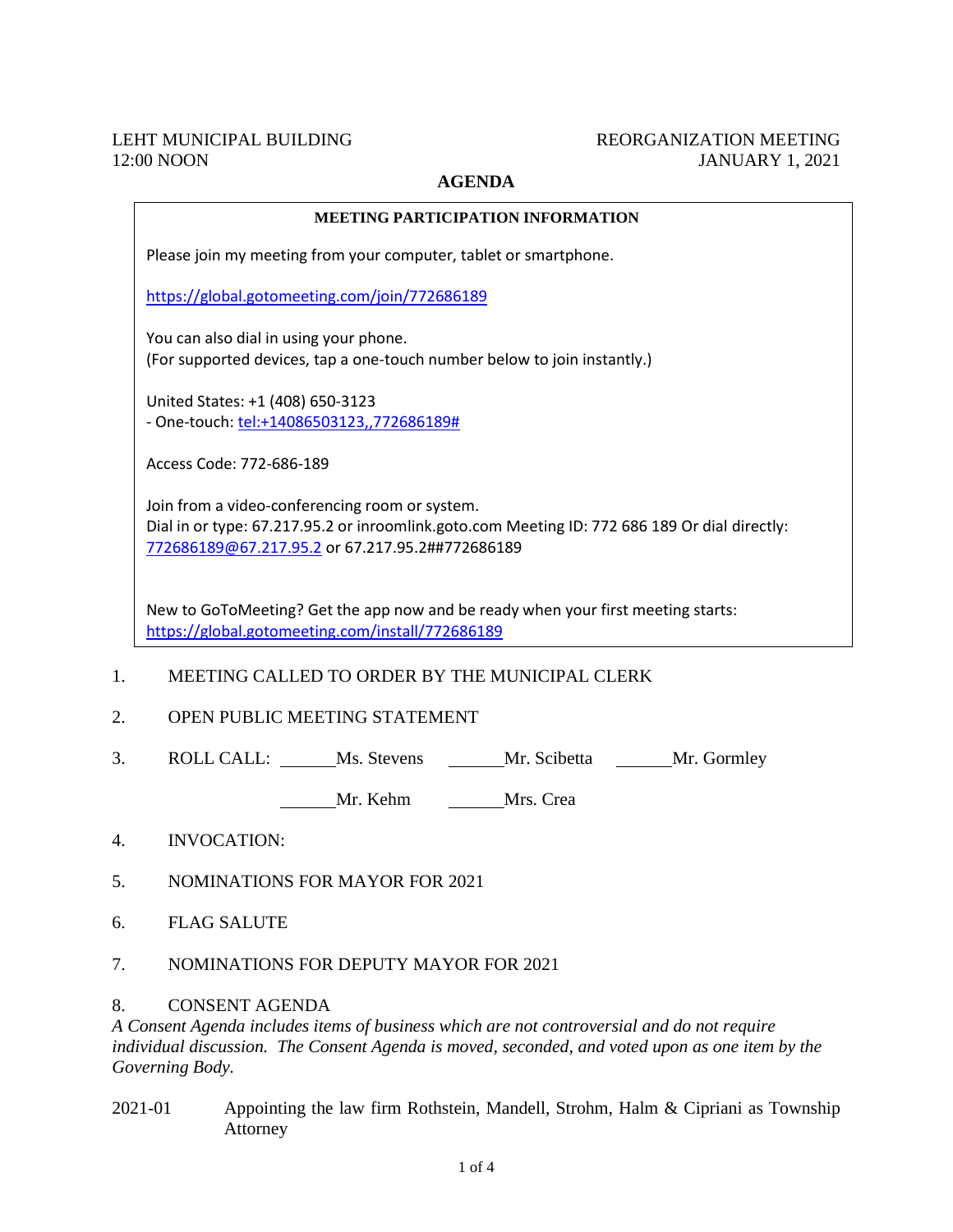## LEHT MUNICIPAL BUILDING 12:00 NOON

## REORGANIZATION MEETING JANUARY 1, 2021

## **AGENDA**

|    | <b>MEETING PARTICIPATION INFORMATION</b>                                                                                                                                                                                                  |  |  |
|----|-------------------------------------------------------------------------------------------------------------------------------------------------------------------------------------------------------------------------------------------|--|--|
|    | Please join my meeting from your computer, tablet or smartphone.                                                                                                                                                                          |  |  |
|    | https://global.gotomeeting.com/join/772686189                                                                                                                                                                                             |  |  |
|    | You can also dial in using your phone.<br>(For supported devices, tap a one-touch number below to join instantly.)                                                                                                                        |  |  |
|    | United States: +1 (408) 650-3123<br>- One-touch: tel:+14086503123,,772686189#                                                                                                                                                             |  |  |
|    | Access Code: 772-686-189                                                                                                                                                                                                                  |  |  |
|    | Join from a video-conferencing room or system.<br>Dial in or type: 67.217.95.2 or inroomlink.goto.com Meeting ID: 772 686 189 Or dial directly:<br>772686189@67.217.95.2 or 67.217.95.2##772686189                                        |  |  |
|    | New to GoToMeeting? Get the app now and be ready when your first meeting starts:<br>https://global.gotomeeting.com/install/772686189                                                                                                      |  |  |
| 1. | MEETING CALLED TO ORDER BY THE MUNICIPAL CLERK                                                                                                                                                                                            |  |  |
| 2. | OPEN PUBLIC MEETING STATEMENT                                                                                                                                                                                                             |  |  |
| 3. | ROLL CALL: Ms. Stevens Mr. Scibetta Mr. Gormley                                                                                                                                                                                           |  |  |
|    | Mr. Kehm Mrs. Crea                                                                                                                                                                                                                        |  |  |
| 4. | <b>INVOCATION:</b>                                                                                                                                                                                                                        |  |  |
| 5. | <b>NOMINATIONS FOR MAYOR FOR 2021</b>                                                                                                                                                                                                     |  |  |
| 6. | <b>FLAG SALUTE</b>                                                                                                                                                                                                                        |  |  |
| 7. | NOMINATIONS FOR DEPUTY MAYOR FOR 2021                                                                                                                                                                                                     |  |  |
| 8. | <b>CONSENT AGENDA</b><br>A Consent Agenda includes items of business which are not controversial and do not require<br>individual discussion. The Consent Agenda is moved, seconded, and voted upon as one item by the<br>Governing Body. |  |  |

2021-01 Appointing the law firm Rothstein, Mandell, Strohm, Halm & Cipriani as Township Attorney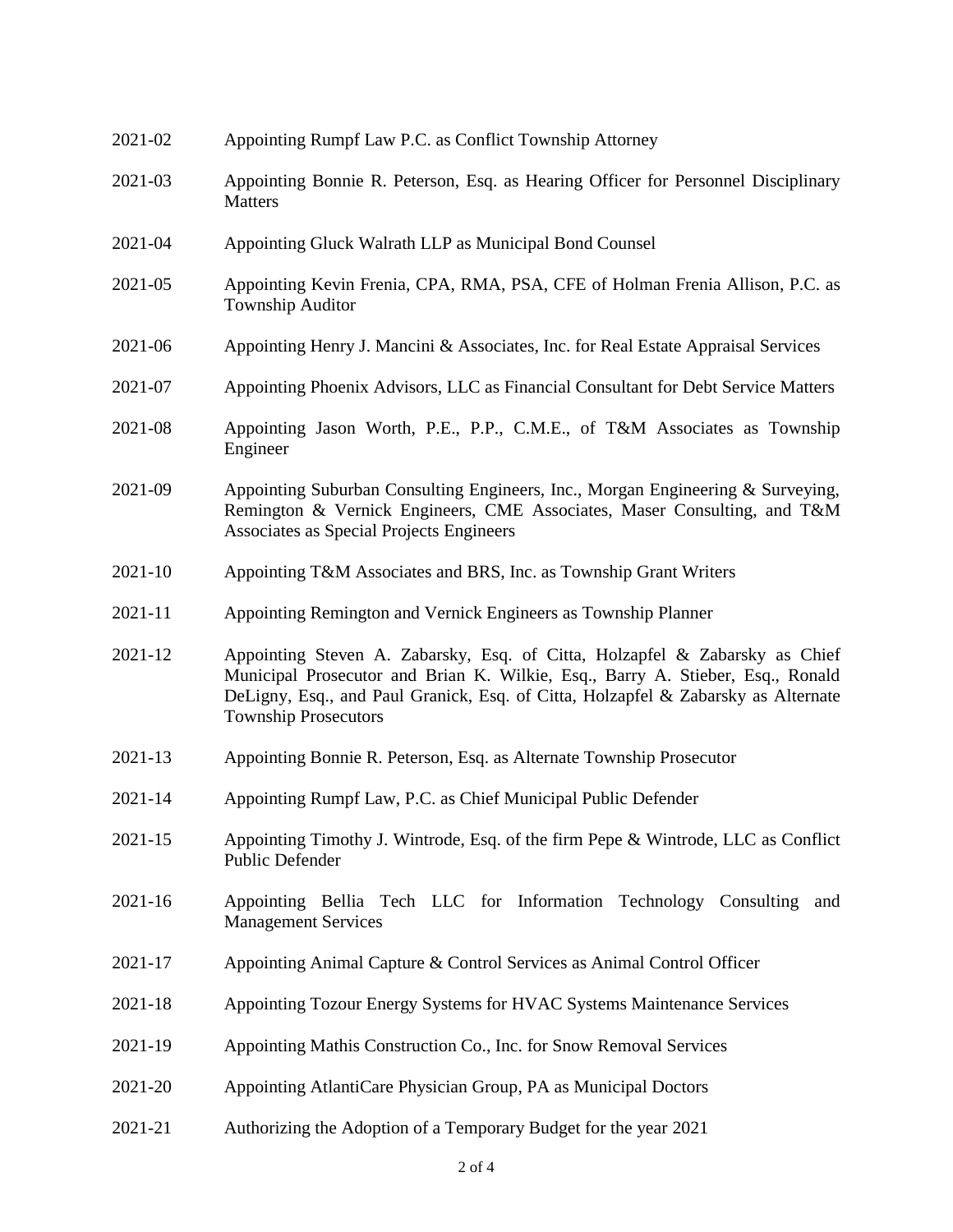| 2021-02     | Appointing Rumpf Law P.C. as Conflict Township Attorney                                                                                                                                                                                                                           |
|-------------|-----------------------------------------------------------------------------------------------------------------------------------------------------------------------------------------------------------------------------------------------------------------------------------|
| 2021-03     | Appointing Bonnie R. Peterson, Esq. as Hearing Officer for Personnel Disciplinary<br><b>Matters</b>                                                                                                                                                                               |
| 2021-04     | Appointing Gluck Walrath LLP as Municipal Bond Counsel                                                                                                                                                                                                                            |
| 2021-05     | Appointing Kevin Frenia, CPA, RMA, PSA, CFE of Holman Frenia Allison, P.C. as<br><b>Township Auditor</b>                                                                                                                                                                          |
| 2021-06     | Appointing Henry J. Mancini & Associates, Inc. for Real Estate Appraisal Services                                                                                                                                                                                                 |
| 2021-07     | Appointing Phoenix Advisors, LLC as Financial Consultant for Debt Service Matters                                                                                                                                                                                                 |
| 2021-08     | Appointing Jason Worth, P.E., P.P., C.M.E., of T&M Associates as Township<br>Engineer                                                                                                                                                                                             |
| 2021-09     | Appointing Suburban Consulting Engineers, Inc., Morgan Engineering & Surveying,<br>Remington & Vernick Engineers, CME Associates, Maser Consulting, and T&M<br>Associates as Special Projects Engineers                                                                           |
| $2021 - 10$ | Appointing T&M Associates and BRS, Inc. as Township Grant Writers                                                                                                                                                                                                                 |
| 2021-11     | Appointing Remington and Vernick Engineers as Township Planner                                                                                                                                                                                                                    |
| 2021-12     | Appointing Steven A. Zabarsky, Esq. of Citta, Holzapfel & Zabarsky as Chief<br>Municipal Prosecutor and Brian K. Wilkie, Esq., Barry A. Stieber, Esq., Ronald<br>DeLigny, Esq., and Paul Granick, Esq. of Citta, Holzapfel & Zabarsky as Alternate<br><b>Township Prosecutors</b> |
| 2021-13     | Appointing Bonnie R. Peterson, Esq. as Alternate Township Prosecutor                                                                                                                                                                                                              |
| $2021 - 14$ | Appointing Rumpf Law, P.C. as Chief Municipal Public Defender                                                                                                                                                                                                                     |
| 2021-15     | Appointing Timothy J. Wintrode, Esq. of the firm Pepe & Wintrode, LLC as Conflict<br>Public Defender                                                                                                                                                                              |
| $2021 - 16$ | Appointing Bellia Tech LLC for Information Technology Consulting<br>and<br><b>Management Services</b>                                                                                                                                                                             |
| 2021-17     | Appointing Animal Capture & Control Services as Animal Control Officer                                                                                                                                                                                                            |
| 2021-18     | Appointing Tozour Energy Systems for HVAC Systems Maintenance Services                                                                                                                                                                                                            |
| 2021-19     | Appointing Mathis Construction Co., Inc. for Snow Removal Services                                                                                                                                                                                                                |
| 2021-20     | Appointing AtlantiCare Physician Group, PA as Municipal Doctors                                                                                                                                                                                                                   |
| 2021-21     | Authorizing the Adoption of a Temporary Budget for the year 2021                                                                                                                                                                                                                  |
|             |                                                                                                                                                                                                                                                                                   |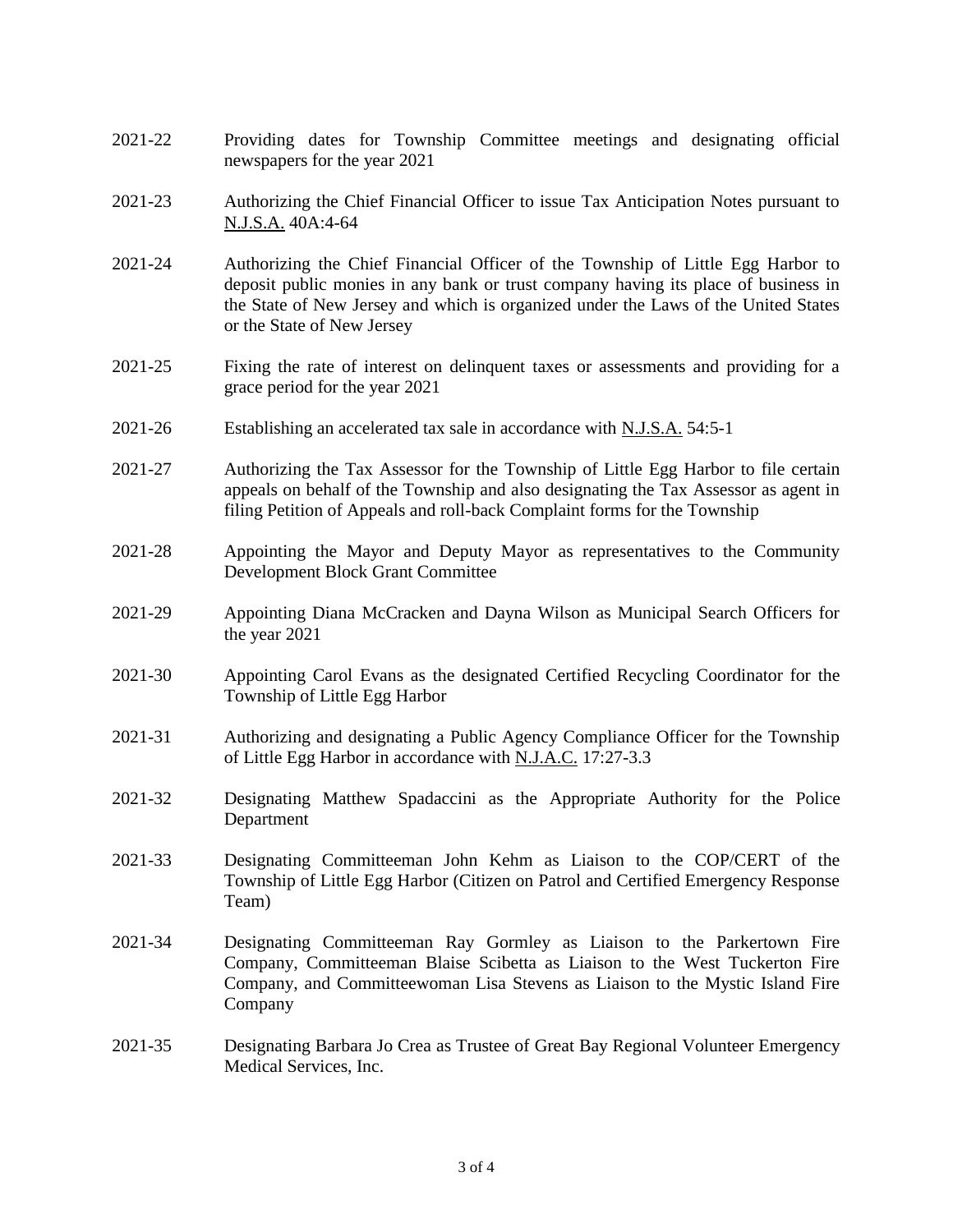- 2021-22 Providing dates for Township Committee meetings and designating official newspapers for the year 2021
- 2021-23 Authorizing the Chief Financial Officer to issue Tax Anticipation Notes pursuant to N.J.S.A. 40A:4-64
- 2021-24 Authorizing the Chief Financial Officer of the Township of Little Egg Harbor to deposit public monies in any bank or trust company having its place of business in the State of New Jersey and which is organized under the Laws of the United States or the State of New Jersey
- 2021-25 Fixing the rate of interest on delinquent taxes or assessments and providing for a grace period for the year 2021
- 2021-26 Establishing an accelerated tax sale in accordance with N.J.S.A. 54:5-1
- 2021-27 Authorizing the Tax Assessor for the Township of Little Egg Harbor to file certain appeals on behalf of the Township and also designating the Tax Assessor as agent in filing Petition of Appeals and roll-back Complaint forms for the Township
- 2021-28 Appointing the Mayor and Deputy Mayor as representatives to the Community Development Block Grant Committee
- 2021-29 Appointing Diana McCracken and Dayna Wilson as Municipal Search Officers for the year 2021
- 2021-30 Appointing Carol Evans as the designated Certified Recycling Coordinator for the Township of Little Egg Harbor
- 2021-31 Authorizing and designating a Public Agency Compliance Officer for the Township of Little Egg Harbor in accordance with N.J.A.C. 17:27-3.3
- 2021-32 Designating Matthew Spadaccini as the Appropriate Authority for the Police Department
- 2021-33 Designating Committeeman John Kehm as Liaison to the COP/CERT of the Township of Little Egg Harbor (Citizen on Patrol and Certified Emergency Response Team)
- 2021-34 Designating Committeeman Ray Gormley as Liaison to the Parkertown Fire Company, Committeeman Blaise Scibetta as Liaison to the West Tuckerton Fire Company, and Committeewoman Lisa Stevens as Liaison to the Mystic Island Fire Company
- 2021-35 Designating Barbara Jo Crea as Trustee of Great Bay Regional Volunteer Emergency Medical Services, Inc.